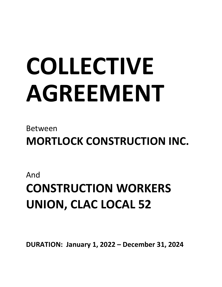# **COLLECTIVE AGREEMENT**

## Between

**MORTLOCK CONSTRUCTION INC.**

### And

# **CONSTRUCTION WORKERS UNION, CLAC LOCAL 52**

**DURATION: January 1, 2022 – December 31, 2024**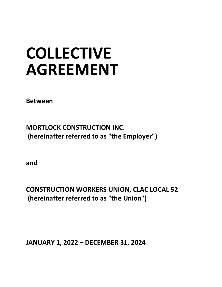# **COLLECTIVE AGREEMENT**

**Between**

**MORTLOCK CONSTRUCTION INC. (hereinafter referred to as "the Employer")**

**and**

**CONSTRUCTION WORKERS UNION, CLAC LOCAL 52 (hereinafter referred to as "the Union")**

**JANUARY 1, 2022 – DECEMBER 31, 2024**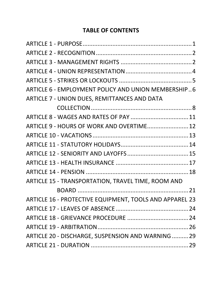#### **TABLE OF CONTENTS**

| ARTICLE 6 - EMPLOYMENT POLICY AND UNION MEMBERSHIP6     |  |
|---------------------------------------------------------|--|
| ARTICLE 7 - UNION DUES, REMITTANCES AND DATA            |  |
|                                                         |  |
|                                                         |  |
| ARTICLE 9 - HOURS OF WORK AND OVERTIME 12               |  |
|                                                         |  |
|                                                         |  |
|                                                         |  |
|                                                         |  |
|                                                         |  |
| ARTICLE 15 - TRANSPORTATION, TRAVEL TIME, ROOM AND      |  |
|                                                         |  |
| ARTICLE 16 - PROTECTIVE EQUIPMENT, TOOLS AND APPAREL 23 |  |
|                                                         |  |
|                                                         |  |
|                                                         |  |
| ARTICLE 20 - DISCHARGE, SUSPENSION AND WARNING  29      |  |
|                                                         |  |
|                                                         |  |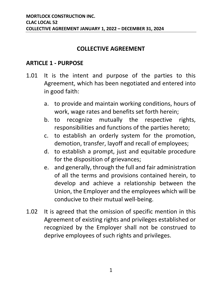#### **COLLECTIVE AGREEMENT**

#### <span id="page-4-0"></span>**ARTICLE 1 - PURPOSE**

- 1.01 It is the intent and purpose of the parties to this Agreement, which has been negotiated and entered into in good faith:
	- a. to provide and maintain working conditions, hours of work, wage rates and benefits set forth herein;
	- b. to recognize mutually the respective rights, responsibilities and functions of the parties hereto;
	- c. to establish an orderly system for the promotion, demotion, transfer, layoff and recall of employees;
	- d. to establish a prompt, just and equitable procedure for the disposition of grievances;
	- e. and generally, through the full and fair administration of all the terms and provisions contained herein, to develop and achieve a relationship between the Union, the Employer and the employees which will be conducive to their mutual well-being.
- 1.02 It is agreed that the omission of specific mention in this Agreement of existing rights and privileges established or recognized by the Employer shall not be construed to deprive employees of such rights and privileges.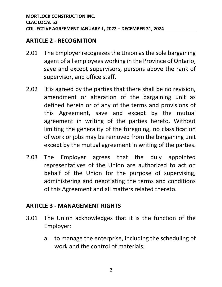#### <span id="page-5-0"></span>**ARTICLE 2 - RECOGNITION**

- 2.01 The Employer recognizes the Union as the sole bargaining agent of all employees working in the Province of Ontario, save and except supervisors, persons above the rank of supervisor, and office staff.
- 2.02 It is agreed by the parties that there shall be no revision, amendment or alteration of the bargaining unit as defined herein or of any of the terms and provisions of this Agreement, save and except by the mutual agreement in writing of the parties hereto. Without limiting the generality of the foregoing, no classification of work or jobs may be removed from the bargaining unit except by the mutual agreement in writing of the parties.
- 2.03 The Employer agrees that the duly appointed representatives of the Union are authorized to act on behalf of the Union for the purpose of supervising, administering and negotiating the terms and conditions of this Agreement and all matters related thereto.

#### <span id="page-5-1"></span>**ARTICLE 3 - MANAGEMENT RIGHTS**

- 3.01 The Union acknowledges that it is the function of the Employer:
	- a. to manage the enterprise, including the scheduling of work and the control of materials;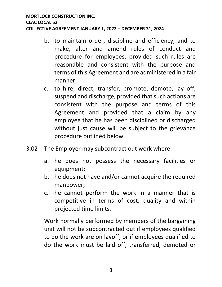- b. to maintain order, discipline and efficiency, and to make, alter and amend rules of conduct and procedure for employees, provided such rules are reasonable and consistent with the purpose and terms of this Agreement and are administered in a fair manner;
- c. to hire, direct, transfer, promote, demote, lay off, suspend and discharge, provided that such actions are consistent with the purpose and terms of this Agreement and provided that a claim by any employee that he has been disciplined or discharged without just cause will be subject to the grievance procedure outlined below.
- 3.02 The Employer may subcontract out work where:
	- a. he does not possess the necessary facilities or equipment;
	- b. he does not have and/or cannot acquire the required manpower;
	- c. he cannot perform the work in a manner that is competitive in terms of cost, quality and within projected time limits.

Work normally performed by members of the bargaining unit will not be subcontracted out if employees qualified to do the work are on layoff, or if employees qualified to do the work must be laid off, transferred, demoted or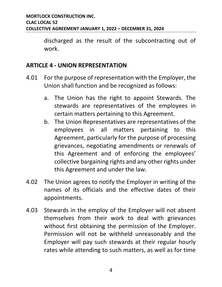discharged as the result of the subcontracting out of work.

#### <span id="page-7-0"></span>**ARTICLE 4 - UNION REPRESENTATION**

- 4.01 For the purpose of representation with the Employer, the Union shall function and be recognized as follows:
	- a. The Union has the right to appoint Stewards. The stewards are representatives of the employees in certain matters pertaining to this Agreement.
	- b. The Union Representatives are representatives of the employees in all matters pertaining to this Agreement, particularly for the purpose of processing grievances, negotiating amendments or renewals of this Agreement and of enforcing the employees' collective bargaining rights and any other rights under this Agreement and under the law.
- 4.02 The Union agrees to notify the Employer in writing of the names of its officials and the effective dates of their appointments.
- 4.03 Stewards in the employ of the Employer will not absent themselves from their work to deal with grievances without first obtaining the permission of the Employer. Permission will not be withheld unreasonably and the Employer will pay such stewards at their regular hourly rates while attending to such matters, as well as for time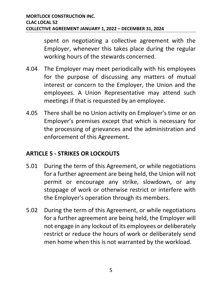spent on negotiating a collective agreement with the Employer, whenever this takes place during the regular working hours of the stewards concerned.

- 4.04 The Employer may meet periodically with his employees for the purpose of discussing any matters of mutual interest or concern to the Employer, the Union and the employees. A Union Representative may attend such meetings if that is requested by an employee.
- 4.05 There shall be no Union activity on Employer's time or on Employer's premises except that which is necessary for the processing of grievances and the administration and enforcement of this Agreement.

#### <span id="page-8-0"></span>**ARTICLE 5 - STRIKES OR LOCKOUTS**

- 5.01 During the term of this Agreement, or while negotiations for a further agreement are being held, the Union will not permit or encourage any strike, slowdown, or any stoppage of work or otherwise restrict or interfere with the Employer's operation through its members.
- 5.02 During the term of this Agreement, or while negotiations for a further agreement are being held, the Employer will not engage in any lockout of its employees or deliberately restrict or reduce the hours of work or deliberately send men home when this is not warranted by the workload.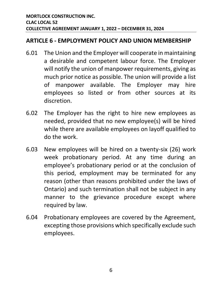#### <span id="page-9-0"></span>**ARTICLE 6 - EMPLOYMENT POLICY AND UNION MEMBERSHIP**

- 6.01 The Union and the Employer will cooperate in maintaining a desirable and competent labour force. The Employer will notify the union of manpower requirements, giving as much prior notice as possible. The union will provide a list of manpower available. The Employer may hire employees so listed or from other sources at its discretion.
- 6.02 The Employer has the right to hire new employees as needed, provided that no new employee(s) will be hired while there are available employees on layoff qualified to do the work.
- 6.03 New employees will be hired on a twenty-six (26) work week probationary period. At any time during an employee's probationary period or at the conclusion of this period, employment may be terminated for any reason (other than reasons prohibited under the laws of Ontario) and such termination shall not be subject in any manner to the grievance procedure except where required by law.
- 6.04 Probationary employees are covered by the Agreement, excepting those provisions which specifically exclude such employees.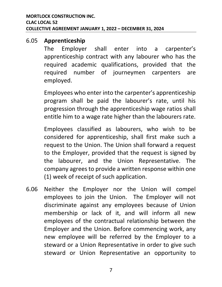#### 6.05 **Apprenticeship**

The Employer shall enter into a carpenter's apprenticeship contract with any labourer who has the required academic qualifications, provided that the required number of journeymen carpenters are employed.

Employees who enter into the carpenter's apprenticeship program shall be paid the labourer's rate, until his progression through the apprenticeship wage ratios shall entitle him to a wage rate higher than the labourers rate.

Employees classified as labourers, who wish to be considered for apprenticeship, shall first make such a request to the Union. The Union shall forward a request to the Employer, provided that the request is signed by the labourer, and the Union Representative. The company agrees to provide a written response within one (1) week of receipt of such application.

6.06 Neither the Employer nor the Union will compel employees to join the Union. The Employer will not discriminate against any employees because of Union membership or lack of it, and will inform all new employees of the contractual relationship between the Employer and the Union. Before commencing work, any new employee will be referred by the Employer to a steward or a Union Representative in order to give such steward or Union Representative an opportunity to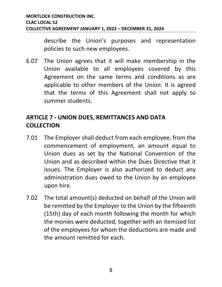describe the Union's purposes and representation policies to such new employees.

6.07 The Union agrees that it will make membership in the Union available to all employees covered by this Agreement on the same terms and conditions as are applicable to other members of the Union. It is agreed that the terms of this Agreement shall not apply to summer students.

#### <span id="page-11-0"></span>**ARTICLE 7 - UNION DUES, REMITTANCES AND DATA COLLECTION**

- 7.01 The Employer shall deduct from each employee, from the commencement of employment, an amount equal to Union dues as set by the National Convention of the Union and as described within the Dues Directive that it issues. The Employer is also authorized to deduct any administration dues owed to the Union by an employee upon hire.
- 7.02 The total amount(s) deducted on behalf of the Union will be remitted by the Employer to the Union by the fifteenth (15th) day of each month following the month for which the monies were deducted, together with an itemized list of the employees for whom the deductions are made and the amount remitted for each.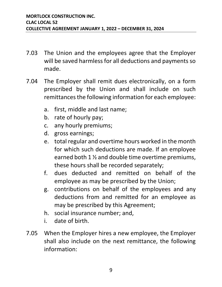- 7.03 The Union and the employees agree that the Employer will be saved harmless for all deductions and payments so made.
- 7.04 The Employer shall remit dues electronically, on a form prescribed by the Union and shall include on such remittances the following information for each employee:
	- a. first, middle and last name;
	- b. rate of hourly pay;
	- c. any hourly premiums;
	- d. gross earnings;
	- e. total regular and overtime hours worked in the month for which such deductions are made. If an employee earned both 1 ½ and double time overtime premiums, these hours shall be recorded separately;
	- f. dues deducted and remitted on behalf of the employee as may be prescribed by the Union;
	- g. contributions on behalf of the employees and any deductions from and remitted for an employee as may be prescribed by this Agreement;
	- h. social insurance number; and,
	- i. date of birth.
- 7.05 When the Employer hires a new employee, the Employer shall also include on the next remittance, the following information: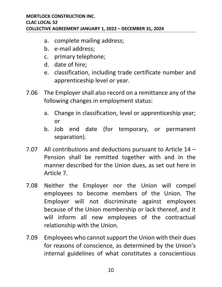- a. complete mailing address;
- b. e-mail address;
- c. primary telephone;
- d. date of hire;
- e. classification, including trade certificate number and apprenticeship level or year.
- 7.06 The Employer shall also record on a remittance any of the following changes in employment status:
	- a. Change in classification, level or apprenticeship year; or
	- b. Job end date (for temporary, or permanent separation).
- 7.07 All contributions and deductions pursuant to Article 14 Pension shall be remitted together with and in the manner described for the Union dues, as set out here in Article 7.
- 7.08 Neither the Employer nor the Union will compel employees to become members of the Union. The Employer will not discriminate against employees because of the Union membership or lack thereof, and it will inform all new employees of the contractual relationship with the Union.
- 7.09 Employees who cannot support the Union with their dues for reasons of conscience, as determined by the Union's internal guidelines of what constitutes a conscientious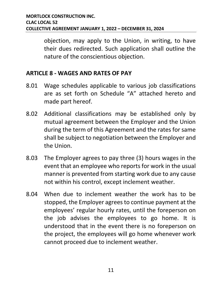objection, may apply to the Union, in writing, to have their dues redirected. Such application shall outline the nature of the conscientious objection.

#### <span id="page-14-0"></span>**ARTICLE 8 - WAGES AND RATES OF PAY**

- 8.01 Wage schedules applicable to various job classifications are as set forth on Schedule "A" attached hereto and made part hereof.
- 8.02 Additional classifications may be established only by mutual agreement between the Employer and the Union during the term of this Agreement and the rates for same shall be subject to negotiation between the Employer and the Union.
- 8.03 The Employer agrees to pay three (3) hours wages in the event that an employee who reports for work in the usual manner is prevented from starting work due to any cause not within his control, except inclement weather.
- 8.04 When due to inclement weather the work has to be stopped, the Employer agrees to continue payment at the employees' regular hourly rates, until the foreperson on the job advises the employees to go home. It is understood that in the event there is no foreperson on the project, the employees will go home whenever work cannot proceed due to inclement weather.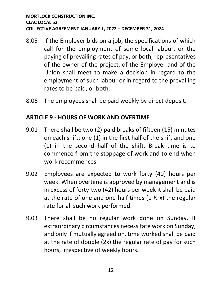- 8.05 If the Employer bids on a job, the specifications of which call for the employment of some local labour, or the paying of prevailing rates of pay, or both, representatives of the owner of the project, of the Employer and of the Union shall meet to make a decision in regard to the employment of such labour or in regard to the prevailing rates to be paid, or both.
- 8.06 The employees shall be paid weekly by direct deposit.

#### <span id="page-15-0"></span>**ARTICLE 9 - HOURS OF WORK AND OVERTIME**

- 9.01 There shall be two (2) paid breaks of fifteen (15) minutes on each shift; one (1) in the first half of the shift and one (1) in the second half of the shift. Break time is to commence from the stoppage of work and to end when work recommences.
- 9.02 Employees are expected to work forty (40) hours per week. When overtime is approved by management and is in excess of forty-two (42) hours per week it shall be paid at the rate of one and one-half times  $(1 \frac{1}{2} x)$  the regular rate for all such work performed.
- 9.03 There shall be no regular work done on Sunday. If extraordinary circumstances necessitate work on Sunday, and only if mutually agreed on, time worked shall be paid at the rate of double (2x) the regular rate of pay for such hours, irrespective of weekly hours.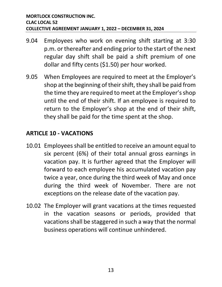- 9.04 Employees who work on evening shift starting at 3:30 p.m. or thereafter and ending prior to the start of the next regular day shift shall be paid a shift premium of one dollar and fifty cents (\$1.50) per hour worked.
- 9.05 When Employees are required to meet at the Employer's shop at the beginning of their shift, they shall be paid from the time they are required to meet at the Employer's shop until the end of their shift. If an employee is required to return to the Employer's shop at the end of their shift, they shall be paid for the time spent at the shop.

#### <span id="page-16-0"></span>**ARTICLE 10 - VACATIONS**

- 10.01 Employees shall be entitled to receive an amount equal to six percent (6%) of their total annual gross earnings in vacation pay. It is further agreed that the Employer will forward to each employee his accumulated vacation pay twice a year, once during the third week of May and once during the third week of November. There are not exceptions on the release date of the vacation pay.
- 10.02 The Employer will grant vacations at the times requested in the vacation seasons or periods, provided that vacations shall be staggered in such a way that the normal business operations will continue unhindered.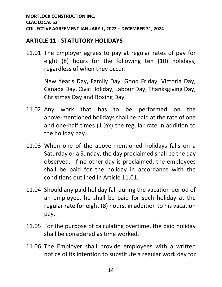#### <span id="page-17-0"></span>**ARTICLE 11 - STATUTORY HOLIDAYS**

11.01 The Employer agrees to pay at regular rates of pay for eight (8) hours for the following ten (10) holidays, regardless of when they occur:

> New Year's Day, Family Day, Good Friday, Victoria Day, Canada Day, Civic Holiday, Labour Day, Thanksgiving Day, Christmas Day and Boxing Day.

- 11.02 Any work that has to be performed on the above-mentioned holidays shall be paid at the rate of one and one-half times  $(1 \frac{1}{2}x)$  the regular rate in addition to the holiday pay.
- 11.03 When one of the above-mentioned holidays falls on a Saturday or a Sunday, the day proclaimed shall be the day observed. If no other day is proclaimed, the employees shall be paid for the holiday in accordance with the conditions outlined in Article 11.01.
- 11.04 Should any paid holiday fall during the vacation period of an employee, he shall be paid for such holiday at the regular rate for eight (8) hours, in addition to his vacation pay.
- 11.05 For the purpose of calculating overtime, the paid holiday shall be considered as time worked.
- 11.06 The Employer shall provide employees with a written notice of its intention to substitute a regular work day for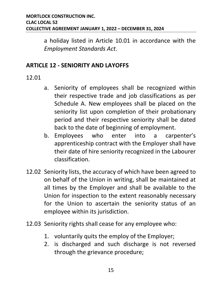a holiday listed in Article 10.01 in accordance with the *Employment Standards Act*.

#### <span id="page-18-0"></span>**ARTICLE 12 - SENIORITY AND LAYOFFS**

- 12.01
- a. Seniority of employees shall be recognized within their respective trade and job classifications as per Schedule A. New employees shall be placed on the seniority list upon completion of their probationary period and their respective seniority shall be dated back to the date of beginning of employment.
- b. Employees who enter into a carpenter's apprenticeship contract with the Employer shall have their date of hire seniority recognized in the Labourer classification.
- 12.02 Seniority lists, the accuracy of which have been agreed to on behalf of the Union in writing, shall be maintained at all times by the Employer and shall be available to the Union for inspection to the extent reasonably necessary for the Union to ascertain the seniority status of an employee within its jurisdiction.
- 12.03 Seniority rights shall cease for any employee who:
	- 1. voluntarily quits the employ of the Employer;
	- 2. is discharged and such discharge is not reversed through the grievance procedure;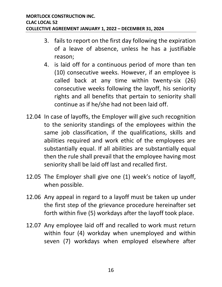- 3. fails to report on the first day following the expiration of a leave of absence, unless he has a justifiable reason;
- 4. is laid off for a continuous period of more than ten (10) consecutive weeks. However, if an employee is called back at any time within twenty-six (26) consecutive weeks following the layoff, his seniority rights and all benefits that pertain to seniority shall continue as if he/she had not been laid off.
- 12.04 In case of layoffs, the Employer will give such recognition to the seniority standings of the employees within the same job classification, if the qualifications, skills and abilities required and work ethic of the employees are substantially equal. If all abilities are substantially equal then the rule shall prevail that the employee having most seniority shall be laid off last and recalled first.
- 12.05 The Employer shall give one (1) week's notice of layoff, when possible.
- 12.06 Any appeal in regard to a layoff must be taken up under the first step of the grievance procedure hereinafter set forth within five (5) workdays after the layoff took place.
- 12.07 Any employee laid off and recalled to work must return within four (4) workday when unemployed and within seven (7) workdays when employed elsewhere after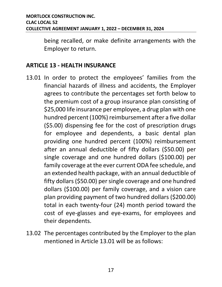being recalled, or make definite arrangements with the Employer to return.

#### <span id="page-20-0"></span>**ARTICLE 13 - HEALTH INSURANCE**

- 13.01 In order to protect the employees' families from the financial hazards of illness and accidents, the Employer agrees to contribute the percentages set forth below to the premium cost of a group insurance plan consisting of \$25,000 life insurance per employee, a drug plan with one hundred percent (100%) reimbursement after a five dollar (\$5.00) dispensing fee for the cost of prescription drugs for employee and dependents, a basic dental plan providing one hundred percent (100%) reimbursement after an annual deductible of fifty dollars (\$50.00) per single coverage and one hundred dollars (\$100.00) per family coverage at the ever current ODA fee schedule, and an extended health package, with an annual deductible of fifty dollars (\$50.00) per single coverage and one hundred dollars (\$100.00) per family coverage, and a vision care plan providing payment of two hundred dollars (\$200.00) total in each twenty-four (24) month period toward the cost of eye-glasses and eye-exams, for employees and their dependents.
- 13.02 The percentages contributed by the Employer to the plan mentioned in Article 13.01 will be as follows: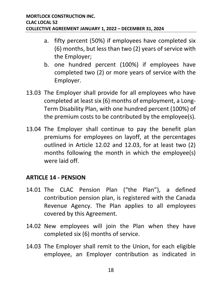- a. fifty percent (50%) if employees have completed six (6) months, but less than two (2) years of service with the Employer;
- b. one hundred percent (100%) if employees have completed two (2) or more years of service with the Employer.
- 13.03 The Employer shall provide for all employees who have completed at least six (6) months of employment, a Long-Term Disability Plan, with one hundred percent (100%) of the premium costs to be contributed by the employee(s).
- 13.04 The Employer shall continue to pay the benefit plan premiums for employees on layoff, at the percentages outlined in Article 12.02 and 12.03, for at least two (2) months following the month in which the employee(s) were laid off.

#### <span id="page-21-0"></span>**ARTICLE 14 - PENSION**

- 14.01 The CLAC Pension Plan ("the Plan"), a defined contribution pension plan, is registered with the Canada Revenue Agency. The Plan applies to all employees covered by this Agreement.
- 14.02 New employees will join the Plan when they have completed six (6) months of service.
- 14.03 The Employer shall remit to the Union, for each eligible employee, an Employer contribution as indicated in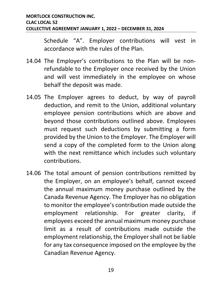Schedule "A". Employer contributions will vest in accordance with the rules of the Plan.

- 14.04 The Employer's contributions to the Plan will be nonrefundable to the Employer once received by the Union and will vest immediately in the employee on whose behalf the deposit was made.
- 14.05 The Employer agrees to deduct, by way of payroll deduction, and remit to the Union, additional voluntary employee pension contributions which are above and beyond those contributions outlined above. Employees must request such deductions by submitting a form provided by the Union to the Employer. The Employer will send a copy of the completed form to the Union along with the next remittance which includes such voluntary contributions.
- 14.06 The total amount of pension contributions remitted by the Employer, on an employee's behalf, cannot exceed the annual maximum money purchase outlined by the Canada Revenue Agency. The Employer has no obligation to monitor the employee's contribution made outside the employment relationship. For greater clarity, if employees exceed the annual maximum money purchase limit as a result of contributions made outside the employment relationship, the Employer shall not be liable for any tax consequence imposed on the employee by the Canadian Revenue Agency.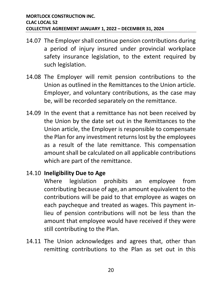- 14.07 The Employer shall continue pension contributions during a period of injury insured under provincial workplace safety insurance legislation, to the extent required by such legislation.
- 14.08 The Employer will remit pension contributions to the Union as outlined in the Remittances to the Union article. Employer, and voluntary contributions, as the case may be, will be recorded separately on the remittance.
- 14.09 In the event that a remittance has not been received by the Union by the date set out in the Remittances to the Union article, the Employer is responsible to compensate the Plan for any investment returns lost by the employees as a result of the late remittance. This compensation amount shall be calculated on all applicable contributions which are part of the remittance.

#### 14.10 **Ineligibility Due to Age**

Where legislation prohibits an employee from contributing because of age, an amount equivalent to the contributions will be paid to that employee as wages on each paycheque and treated as wages. This payment inlieu of pension contributions will not be less than the amount that employee would have received if they were still contributing to the Plan.

14.11 The Union acknowledges and agrees that, other than remitting contributions to the Plan as set out in this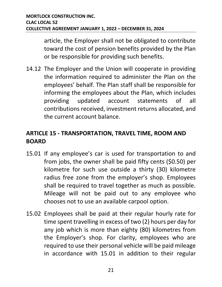article, the Employer shall not be obligated to contribute toward the cost of pension benefits provided by the Plan or be responsible for providing such benefits.

14.12 The Employer and the Union will cooperate in providing the information required to administer the Plan on the employees' behalf. The Plan staff shall be responsible for informing the employees about the Plan, which includes providing updated account statements of all contributions received, investment returns allocated, and the current account balance.

#### <span id="page-24-0"></span>**ARTICLE 15 - TRANSPORTATION, TRAVEL TIME, ROOM AND BOARD**

- 15.01 If any employee's car is used for transportation to and from jobs, the owner shall be paid fifty cents (\$0.50) per kilometre for such use outside a thirty (30) kilometre radius free zone from the employer's shop. Employees shall be required to travel together as much as possible. Mileage will not be paid out to any employee who chooses not to use an available carpool option.
- 15.02 Employees shall be paid at their regular hourly rate for time spent travelling in excess of two (2) hours per day for any job which is more than eighty (80) kilometres from the Employer's shop. For clarity, employees who are required to use their personal vehicle will be paid mileage in accordance with 15.01 in addition to their regular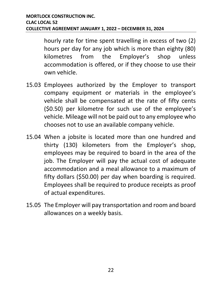hourly rate for time spent travelling in excess of two (2) hours per day for any job which is more than eighty (80) kilometres from the Employer's shop unless accommodation is offered, or if they choose to use their own vehicle.

- 15.03 Employees authorized by the Employer to transport company equipment or materials in the employee's vehicle shall be compensated at the rate of fifty cents (\$0.50) per kilometre for such use of the employee's vehicle. Mileage will not be paid out to any employee who chooses not to use an available company vehicle.
- 15.04 When a jobsite is located more than one hundred and thirty (130) kilometers from the Employer's shop, employees may be required to board in the area of the job. The Employer will pay the actual cost of adequate accommodation and a meal allowance to a maximum of fifty dollars (\$50.00) per day when boarding is required. Employees shall be required to produce receipts as proof of actual expenditures.
- 15.05 The Employer will pay transportation and room and board allowances on a weekly basis.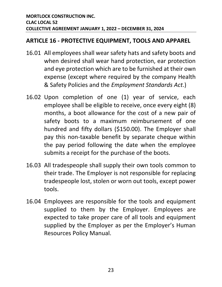#### <span id="page-26-0"></span>**ARTICLE 16 - PROTECTIVE EQUIPMENT, TOOLS AND APPAREL**

- 16.01 All employees shall wear safety hats and safety boots and when desired shall wear hand protection, ear protection and eye protection which are to be furnished at their own expense (except where required by the company Health & Safety Policies and the *Employment Standards Act*.)
- 16.02 Upon completion of one (1) year of service, each employee shall be eligible to receive, once every eight (8) months, a boot allowance for the cost of a new pair of safety boots to a maximum reimbursement of one hundred and fifty dollars (\$150.00). The Employer shall pay this non-taxable benefit by separate cheque within the pay period following the date when the employee submits a receipt for the purchase of the boots.
- 16.03 All tradespeople shall supply their own tools common to their trade. The Employer is not responsible for replacing tradespeople lost, stolen or worn out tools, except power tools.
- 16.04 Employees are responsible for the tools and equipment supplied to them by the Employer. Employees are expected to take proper care of all tools and equipment supplied by the Employer as per the Employer's Human Resources Policy Manual.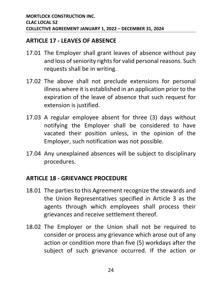#### <span id="page-27-0"></span>**ARTICLE 17 - LEAVES OF ABSENCE**

- 17.01 The Employer shall grant leaves of absence without pay and loss of seniority rights for valid personal reasons. Such requests shall be in writing.
- 17.02 The above shall not preclude extensions for personal illness where it is established in an application prior to the expiration of the leave of absence that such request for extension is justified.
- 17.03 A regular employee absent for three (3) days without notifying the Employer shall be considered to have vacated their position unless, in the opinion of the Employer, such notification was not possible.
- 17.04 Any unexplained absences will be subject to disciplinary procedures.

#### <span id="page-27-1"></span>**ARTICLE 18 - GRIEVANCE PROCEDURE**

- 18.01 The parties to this Agreement recognize the stewards and the Union Representatives specified in Article 3 as the agents through which employees shall process their grievances and receive settlement thereof.
- 18.02 The Employer or the Union shall not be required to consider or process any grievance which arose out of any action or condition more than five (5) workdays after the subject of such grievance occurred. If the action or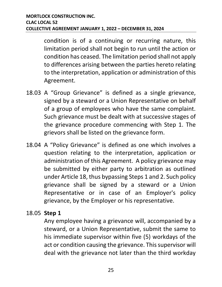condition is of a continuing or recurring nature, this limitation period shall not begin to run until the action or condition has ceased. The limitation period shall not apply to differences arising between the parties hereto relating to the interpretation, application or administration of this Agreement.

- 18.03 A "Group Grievance" is defined as a single grievance, signed by a steward or a Union Representative on behalf of a group of employees who have the same complaint. Such grievance must be dealt with at successive stages of the grievance procedure commencing with Step 1. The grievors shall be listed on the grievance form.
- 18.04 A "Policy Grievance" is defined as one which involves a question relating to the interpretation, application or administration of this Agreement. A policy grievance may be submitted by either party to arbitration as outlined under Article 18, thus bypassing Steps 1 and 2. Such policy grievance shall be signed by a steward or a Union Representative or in case of an Employer's policy grievance, by the Employer or his representative.

#### 18.05 **Step 1**

Any employee having a grievance will, accompanied by a steward, or a Union Representative, submit the same to his immediate supervisor within five (5) workdays of the act or condition causing the grievance. This supervisor will deal with the grievance not later than the third workday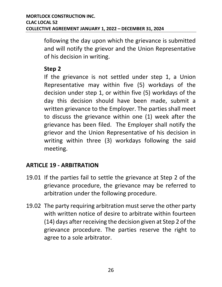following the day upon which the grievance is submitted and will notify the grievor and the Union Representative of his decision in writing.

#### **Step 2**

If the grievance is not settled under step 1, a Union Representative may within five (5) workdays of the decision under step 1, or within five (5) workdays of the day this decision should have been made, submit a written grievance to the Employer. The parties shall meet to discuss the grievance within one (1) week after the grievance has been filed. The Employer shall notify the grievor and the Union Representative of his decision in writing within three (3) workdays following the said meeting.

#### <span id="page-29-0"></span>**ARTICLE 19 - ARBITRATION**

- 19.01 If the parties fail to settle the grievance at Step 2 of the grievance procedure, the grievance may be referred to arbitration under the following procedure.
- 19.02 The party requiring arbitration must serve the other party with written notice of desire to arbitrate within fourteen (14) days after receiving the decision given at Step 2 of the grievance procedure. The parties reserve the right to agree to a sole arbitrator.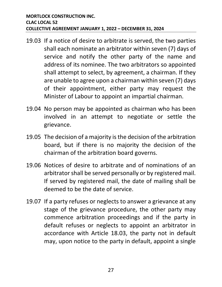- 19.03 If a notice of desire to arbitrate is served, the two parties shall each nominate an arbitrator within seven (7) days of service and notify the other party of the name and address of its nominee. The two arbitrators so appointed shall attempt to select, by agreement, a chairman. If they are unable to agree upon a chairman within seven (7) days of their appointment, either party may request the Minister of Labour to appoint an impartial chairman.
- 19.04 No person may be appointed as chairman who has been involved in an attempt to negotiate or settle the grievance.
- 19.05 The decision of a majority is the decision of the arbitration board, but if there is no majority the decision of the chairman of the arbitration board governs.
- 19.06 Notices of desire to arbitrate and of nominations of an arbitrator shall be served personally or by registered mail. If served by registered mail, the date of mailing shall be deemed to be the date of service.
- 19.07 If a party refuses or neglects to answer a grievance at any stage of the grievance procedure, the other party may commence arbitration proceedings and if the party in default refuses or neglects to appoint an arbitrator in accordance with Article 18.03, the party not in default may, upon notice to the party in default, appoint a single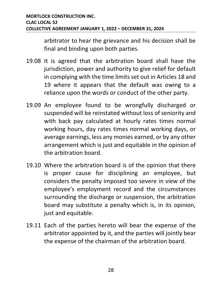arbitrator to hear the grievance and his decision shall be final and binding upon both parties.

- 19.08 It is agreed that the arbitration board shall have the jurisdiction, power and authority to give relief for default in complying with the time limits set out in Articles 18 and 19 where it appears that the default was owing to a reliance upon the words or conduct of the other party.
- 19.09 An employee found to be wrongfully discharged or suspended will be reinstated without loss of seniority and with back pay calculated at hourly rates times normal working hours, day rates times normal working days, or average earnings, less any monies earned, or by any other arrangement which is just and equitable in the opinion of the arbitration board.
- 19.10 Where the arbitration board is of the opinion that there is proper cause for disciplining an employee, but considers the penalty imposed too severe in view of the employee's employment record and the circumstances surrounding the discharge or suspension, the arbitration board may substitute a penalty which is, in its opinion, just and equitable.
- 19.11 Each of the parties hereto will bear the expense of the arbitrator appointed by it, and the parties will jointly bear the expense of the chairman of the arbitration board.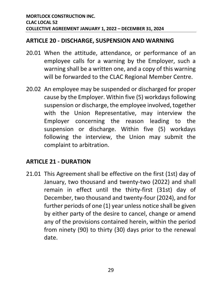#### <span id="page-32-0"></span>**ARTICLE 20 - DISCHARGE, SUSPENSION AND WARNING**

- 20.01 When the attitude, attendance, or performance of an employee calls for a warning by the Employer, such a warning shall be a written one, and a copy of this warning will be forwarded to the CLAC Regional Member Centre.
- 20.02 An employee may be suspended or discharged for proper cause by the Employer. Within five (5) workdays following suspension or discharge, the employee involved, together with the Union Representative, may interview the Employer concerning the reason leading to the suspension or discharge. Within five (5) workdays following the interview, the Union may submit the complaint to arbitration.

#### <span id="page-32-1"></span>**ARTICLE 21 - DURATION**

21.01 This Agreement shall be effective on the first (1st) day of January, two thousand and twenty-two (2022) and shall remain in effect until the thirty-first (31st) day of December, two thousand and twenty-four (2024), and for further periods of one (1) year unless notice shall be given by either party of the desire to cancel, change or amend any of the provisions contained herein, within the period from ninety (90) to thirty (30) days prior to the renewal date.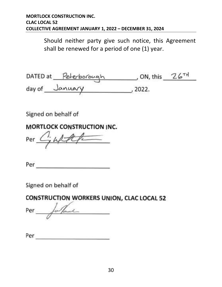Should neither party give such notice, this Agreement shall be renewed for a period of one (1) year.

| DATED at | Peterborough | , ON, this | 26TH |
|----------|--------------|------------|------|
| day of   | January      | 2022.      |      |

Signed on behalf of

#### **MORTLOCK CONSTRUCTION INC.**

Per

Per

Signed on behalf of

CONSTRUCTION WORKERS UNION, CLAC LOCAL 52

 $\frac{1}{2}$  $Per$ faut

| Per |  |  |  |
|-----|--|--|--|
|     |  |  |  |
|     |  |  |  |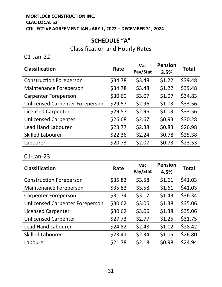#### **MORTLOCK CONSTRUCTION INC. CLAC LOCAL 52 COLLECTIVE AGREEMENT JANUARY 1, 2022 – DECEMBER 31, 2024**

#### **SCHEDULE "A"**

#### Classification and Hourly Rates

01-Jan-22

| <b>Classification</b>                  | Rate    | <b>Vac</b><br>Pay/Stat | <b>Pension</b><br>3.5% | <b>Total</b> |
|----------------------------------------|---------|------------------------|------------------------|--------------|
| <b>Construction Foreperson</b>         | \$34.78 | \$3.48                 | \$1.22                 | \$39.48      |
| <b>Maintenance Foreperson</b>          | \$34.78 | \$3.48                 | \$1.22                 | \$39.48      |
| <b>Carpenter Foreperson</b>            | \$30.69 | \$3.07                 | \$1.07                 | \$34.83      |
| <b>Unlicensed Carpenter Foreperson</b> | \$29.57 | \$2.96                 | \$1.03                 | \$33.56      |
| <b>Licensed Carpenter</b>              | \$29.57 | \$2.96                 | \$1.03                 | \$33.56      |
| <b>Unlicensed Carpenter</b>            | \$26.68 | \$2.67                 | \$0.93                 | \$30.28      |
| <b>Lead Hand Labourer</b>              | \$23.77 | \$2.38                 | \$0.83                 | \$26.98      |
| <b>Skilled Labourer</b>                | \$22.36 | \$2.24                 | \$0.78                 | \$25.38      |
| Labourer                               | \$20.73 | \$2.07                 | \$0.73                 | \$23.53      |

#### 01-Jan-23

| <b>Classification</b>                  | Rate    | <b>Vac</b><br>Pay/Stat | <b>Pension</b><br>4.5% | <b>Total</b> |
|----------------------------------------|---------|------------------------|------------------------|--------------|
| <b>Construction Foreperson</b>         | \$35.83 | \$3.58                 | \$1.61                 | \$41.03      |
| <b>Maintenance Foreperson</b>          | \$35.83 | \$3.58                 | \$1.61                 | \$41.03      |
| <b>Carpenter Foreperson</b>            | \$31.74 | \$3.17                 | \$1.43                 | \$36.34      |
| <b>Unlicensed Carpenter Foreperson</b> | \$30.62 | \$3.06                 | \$1.38                 | \$35.06      |
| <b>Licensed Carpenter</b>              | \$30.62 | \$3.06                 | \$1.38                 | \$35.06      |
| <b>Unlicensed Carpenter</b>            | \$27.73 | \$2.77                 | \$1.25                 | \$31.75      |
| <b>Lead Hand Labourer</b>              | \$24.82 | \$2.48                 | \$1.12                 | \$28.42      |
| <b>Skilled Labourer</b>                | \$23.41 | \$2.34                 | \$1.05                 | \$26.80      |
| Labourer                               | \$21.78 | \$2.18                 | \$0.98                 | \$24.94      |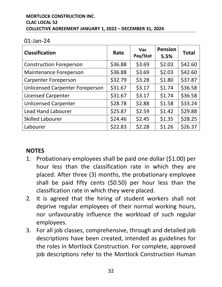#### **MORTLOCK CONSTRUCTION INC. CLAC LOCAL 52 COLLECTIVE AGREEMENT JANUARY 1, 2022 – DECEMBER 31, 2024**

#### 01-Jan-24

| <b>Classification</b>                  | Rate    | <b>Vac</b><br>Pay/Stat | <b>Pension</b><br>5.5% | <b>Total</b> |
|----------------------------------------|---------|------------------------|------------------------|--------------|
| <b>Construction Foreperson</b>         | \$36.88 | \$3.69                 | \$2.03                 | \$42.60      |
| <b>Maintenance Foreperson</b>          | \$36.88 | \$3.69                 | \$2.03                 | \$42.60      |
| <b>Carpenter Foreperson</b>            | \$32.79 | \$3.28                 | \$1.80                 | \$37.87      |
| <b>Unlicensed Carpenter Foreperson</b> | \$31.67 | \$3.17                 | \$1.74                 | \$36.58      |
| <b>Licensed Carpenter</b>              | \$31.67 | \$3.17                 | \$1.74                 | \$36.58      |
| <b>Unlicensed Carpenter</b>            | \$28.78 | \$2.88                 | \$1.58                 | \$33.24      |
| <b>Lead Hand Labourer</b>              | \$25.87 | \$2.59                 | \$1.42                 | \$29.88      |
| <b>Skilled Labourer</b>                | \$24.46 | \$2.45                 | \$1.35                 | \$28.25      |
| Labourer                               | \$22.83 | \$2.28                 | \$1.26                 | \$26.37      |

#### **NOTES**

- 1. Probationary employees shall be paid one dollar (\$1.00) per hour less than the classification rate in which they are placed. After three (3) months, the probationary employee shall be paid fifty cents (\$0.50) per hour less than the classification rate in which they were placed.
- 2. It is agreed that the hiring of student workers shall not deprive regular employees of their normal working hours, nor unfavourably influence the workload of such regular employees.
- 3. For all job classes, comprehensive, through and detailed job descriptions have been created, intended as guidelines for the roles in Mortlock Construction. For complete, approved job descriptions refer to the Mortlock Construction Human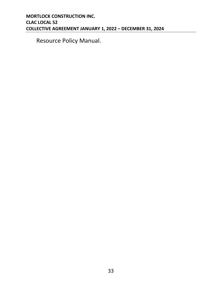Resource Policy Manual.